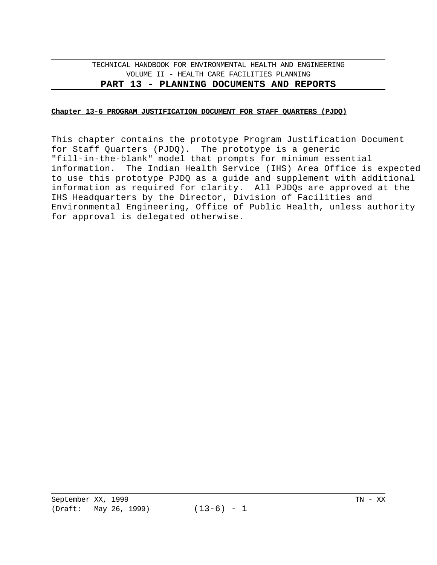#### **Chapter 13-6 PROGRAM JUSTIFICATION DOCUMENT FOR STAFF QUARTERS (PJDQ)**

This chapter contains the prototype Program Justification Document for Staff Quarters (PJDQ). The prototype is a generic "fill-in-the-blank" model that prompts for minimum essential information. The Indian Health Service (IHS) Area Office is expected to use this prototype PJDQ as a guide and supplement with additional information as required for clarity. All PJDQs are approved at the IHS Headquarters by the Director, Division of Facilities and Environmental Engineering, Office of Public Health, unless authority for approval is delegated otherwise.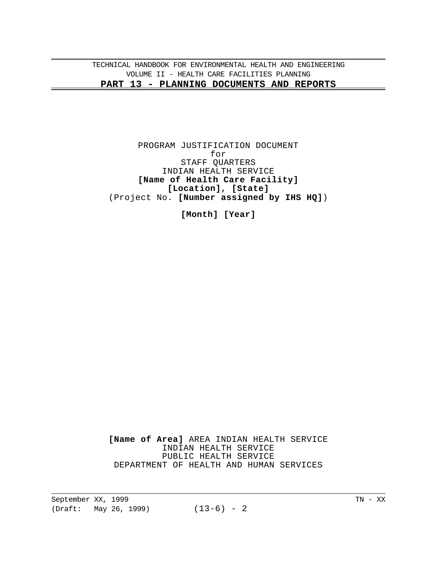PROGRAM JUSTIFICATION DOCUMENT for STAFF QUARTERS INDIAN HEALTH SERVICE **[Name of Health Care Facility] [Location], [State]** (Project No. **[Number assigned by IHS HQ]**)

**[Month] [Year]**

**[Name of Area]** AREA INDIAN HEALTH SERVICE INDIAN HEALTH SERVICE PUBLIC HEALTH SERVICE DEPARTMENT OF HEALTH AND HUMAN SERVICES

September XX, 1999 TN - XX (Draft: May 26, 1999) (13-6) - 2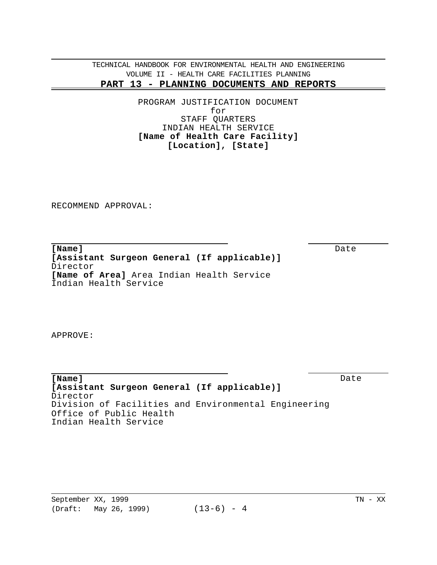> PROGRAM JUSTIFICATION DOCUMENT for STAFF QUARTERS INDIAN HEALTH SERVICE **[Name of Health Care Facility] [Location], [State]**

RECOMMEND APPROVAL:

**[Name]** Date **[Assistant Surgeon General (If applicable)]** Director **[Name of Area]** Area Indian Health Service Indian Health Service

APPROVE:

**[Name]** Date **[Assistant Surgeon General (If applicable)]** Director Division of Facilities and Environmental Engineering Office of Public Health Indian Health Service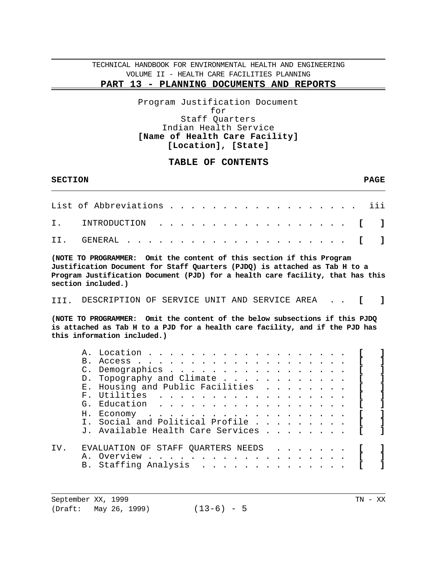# **PART 13 - PLANNING DOCUMENTS AND REPORTS**

### Program Justification Document for Staff Quarters Indian Health Service **[Name of Health Care Facility] [Location], [State]**

# **TABLE OF CONTENTS**

| <b>SECTION</b> |                                                                                                                                                                                                                                                                                                                                                                                                                                                                                                                                                                                                                                                                                                                                                                                                                                                                                                    | <b>PAGE</b> |
|----------------|----------------------------------------------------------------------------------------------------------------------------------------------------------------------------------------------------------------------------------------------------------------------------------------------------------------------------------------------------------------------------------------------------------------------------------------------------------------------------------------------------------------------------------------------------------------------------------------------------------------------------------------------------------------------------------------------------------------------------------------------------------------------------------------------------------------------------------------------------------------------------------------------------|-------------|
|                | List of Abbreviations .                                                                                                                                                                                                                                                                                                                                                                                                                                                                                                                                                                                                                                                                                                                                                                                                                                                                            | iii         |
| Τ.             | INTRODUCTION<br>T.                                                                                                                                                                                                                                                                                                                                                                                                                                                                                                                                                                                                                                                                                                                                                                                                                                                                                 | ı           |
| II.            | GENERAL                                                                                                                                                                                                                                                                                                                                                                                                                                                                                                                                                                                                                                                                                                                                                                                                                                                                                            |             |
|                | (NOTE TO PROGRAMMER: Omit the content of this section if this Program<br>Justification Document for Staff Quarters (PJDQ) is attached as Tab H to a<br>Program Justification Document (PJD) for a health care facility, that has this<br>section included.)                                                                                                                                                                                                                                                                                                                                                                                                                                                                                                                                                                                                                                        |             |
| TTT.           | DESCRIPTION OF SERVICE UNIT AND SERVICE AREA                                                                                                                                                                                                                                                                                                                                                                                                                                                                                                                                                                                                                                                                                                                                                                                                                                                       |             |
|                | (NOTE TO PROGRAMMER: Omit the content of the below subsections if this PJDQ<br>is attached as Tab H to a PJD for a health care facility, and if the PJD has<br>this information included.)                                                                                                                                                                                                                                                                                                                                                                                                                                                                                                                                                                                                                                                                                                         |             |
|                | A. Location<br>$B_{\perp}$<br>Access.<br>Demographics .<br>$\mathcal{C}$ .<br>$\cdot$ $\cdot$ $\cdot$ $\cdot$ $\cdot$<br>Topography and Climate<br>D.<br>$\cdot$ $\cdot$ $\cdot$ $\cdot$ $\cdot$ $\cdot$ $\cdot$ $\cdot$<br>$\mathbf{L}$<br>Housing and Public Facilities<br>$E_{\rm A}$<br>$\mathbf{r}$ and $\mathbf{r}$ and $\mathbf{r}$ and $\mathbf{r}$<br>F. Utilities<br>G. Education<br>$\cdots$<br>$\cdots$<br>H. Economy<br>$\mathbf{r}$ , $\mathbf{r}$ , $\mathbf{r}$ , $\mathbf{r}$ , $\mathbf{r}$ , $\mathbf{r}$ , $\mathbf{r}$ , $\mathbf{r}$ , $\mathbf{r}$ , $\mathbf{r}$ , $\mathbf{r}$ , $\mathbf{r}$ , $\mathbf{r}$ , $\mathbf{r}$ , $\mathbf{r}$ , $\mathbf{r}$ , $\mathbf{r}$ , $\mathbf{r}$ , $\mathbf{r}$ , $\mathbf{r}$ ,<br>Social and Political Profile<br>$T_{\rm{tot}}$<br>$\sim$ $\sim$ $\sim$ $\sim$ $\sim$ $\sim$ $\sim$ $\sim$<br>J. Available Health Care Services |             |
| IV.            | EVALUATION OF STAFF QUARTERS NEEDS<br>Overview<br>А.<br>$\mathbf{r}$ , $\mathbf{r}$ , $\mathbf{r}$<br>Staffing Analysis<br>B.                                                                                                                                                                                                                                                                                                                                                                                                                                                                                                                                                                                                                                                                                                                                                                      |             |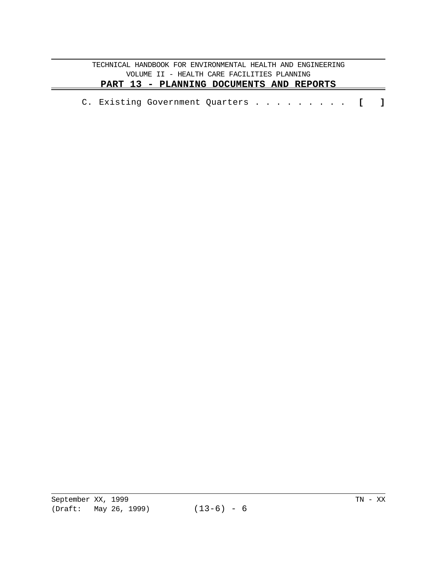|  |  | C. Existing Government Quarters [ ] |  |  |  |  |  |  |  |  |  |  |  |  |  |
|--|--|-------------------------------------|--|--|--|--|--|--|--|--|--|--|--|--|--|
|--|--|-------------------------------------|--|--|--|--|--|--|--|--|--|--|--|--|--|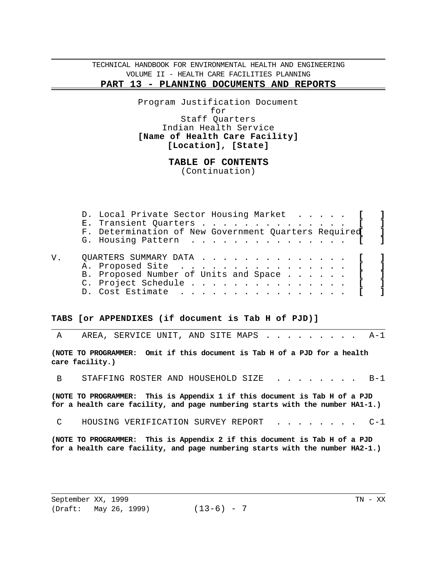> Program Justification Document for Staff Quarters Indian Health Service **[Name of Health Care Facility] [Location], [State]**

> > **TABLE OF CONTENTS**  (Continuation)

| D. Local Private Sector Housing Market [             |  |
|------------------------------------------------------|--|
| E. Transient Quarters [ ]                            |  |
| F. Determination of New Government Quarters Required |  |
| G. Housing Pattern                                   |  |
| OUARTERS SUMMARY DATA [ ]                            |  |
| A. Proposed Site [                                   |  |
| B. Proposed Number of Units and Space [ ]            |  |
| C. Project Schedule [ ]                              |  |
| D. Cost Estimate [                                   |  |

#### **TABS [or APPENDIXES (if document is Tab H of PJD)]**

|                | A AREA, SERVICE UNIT, AND SITE MAPS A-1                                                                                                                     |  |  |  |  |  |
|----------------|-------------------------------------------------------------------------------------------------------------------------------------------------------------|--|--|--|--|--|
|                | (NOTE TO PROGRAMMER: Omit if this document is Tab H of a PJD for a health<br>care facility.)                                                                |  |  |  |  |  |
| $\overline{B}$ | STAFFING ROSTER AND HOUSEHOLD SIZE B-1                                                                                                                      |  |  |  |  |  |
|                | (NOTE TO PROGRAMMER: This is Appendix 1 if this document is Tab H of a PJD<br>for a health care facility, and page numbering starts with the number HA1-1.) |  |  |  |  |  |
| $\overline{C}$ | HOUSING VERIFICATION SURVEY REPORT C-1                                                                                                                      |  |  |  |  |  |

**(NOTE TO PROGRAMMER: This is Appendix 2 if this document is Tab H of a PJD for a health care facility, and page numbering starts with the number HA2-1.)**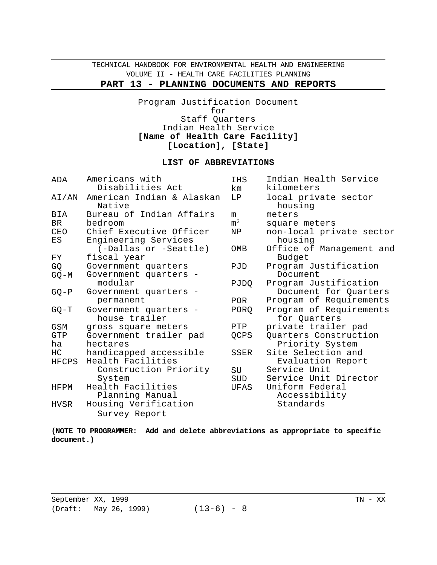# **PART 13 - PLANNING DOCUMENTS AND REPORTS**

Program Justification Document for Staff Quarters Indian Health Service **[Name of Health Care Facility] [Location], [State]** 

### **LIST OF ABBREVIATIONS**

| Indian Health Service<br>Americans with<br>ADA<br><b>IHS</b><br>Disabilities Act<br>kilometers<br>km |  |
|------------------------------------------------------------------------------------------------------|--|
| American Indian & Alaskan<br>local private sector<br>LP.<br>AI/AN<br>Native<br>housing               |  |
| Bureau of Indian Affairs<br>BIA<br>meters<br>m                                                       |  |
| m <sup>2</sup><br>BR<br>bedroom<br>square meters                                                     |  |
| Chief Executive Officer<br>non-local private sector<br>CEO<br>ΝP                                     |  |
| Engineering Services<br>housing<br>ES                                                                |  |
| (-Dallas or -Seattle)<br>Office of Management and<br>OMB                                             |  |
| fiscal year<br>Budget<br>FY                                                                          |  |
| Government quarters<br>Program Justification<br>GQ<br>PJD                                            |  |
| Government quarters -<br>Document<br>$GQ-M$                                                          |  |
| modular<br>Program Justification<br>PJDQ                                                             |  |
| Document for Quarters<br>Government quarters -<br>$GQ - P$                                           |  |
| Program of Requirements<br>permanent<br>POR                                                          |  |
| Government quarters -<br>PORQ<br>Program of Requirements<br>$GQ-T$                                   |  |
| house trailer<br>for Quarters                                                                        |  |
| <b>GSM</b><br>private trailer pad<br>PTP<br>gross square meters                                      |  |
| Quarters Construction<br>GTP<br>Government trailer pad<br>QCPS                                       |  |
| hectares<br>Priority System<br>ha                                                                    |  |
| Site Selection and<br>handicapped accessible<br>HC<br>SSER                                           |  |
| Health Facilities<br>Evaluation Report<br>HFCPS                                                      |  |
| Construction Priority<br>Service Unit<br>SU                                                          |  |
| Service Unit Director<br>System<br>SUD                                                               |  |
| Health Facilities<br>Uniform Federal<br>UFAS<br>HFPM                                                 |  |
| Accessibility<br>Planning Manual                                                                     |  |
| Housing Verification<br>Standards<br>HVSR                                                            |  |
| Survey Report                                                                                        |  |

**(NOTE TO PROGRAMMER: Add and delete abbreviations as appropriate to specific document.)**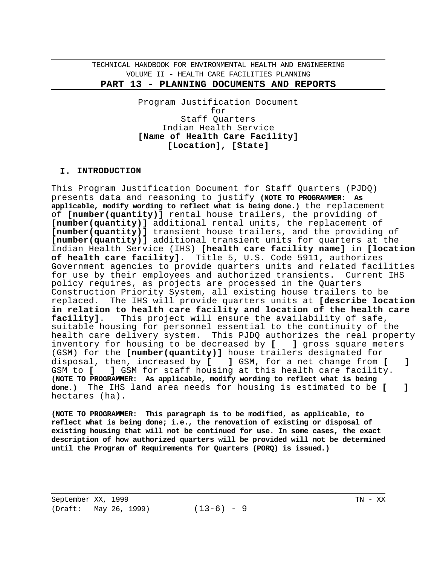Program Justification Document for Staff Quarters Indian Health Service **[Name of Health Care Facility] [Location], [State]** 

### **I. INTRODUCTION**

This Program Justification Document for Staff Quarters (PJDQ) presents data and reasoning to justify **(NOTE TO PROGRAMMER: As applicable, modify wording to reflect what is being done.)** the replacement of **[number(quantity)]** rental house trailers, the providing of **[number(quantity)]** additional rental units, the replacement of **[number(quantity)]** transient house trailers, and the providing of **[number(quantity)]** additional transient units for quarters at the Indian Health Service (IHS) **[health care facility name]** in **[location of health care facility]**. Title 5, U.S. Code 5911, authorizes Government agencies to provide quarters units and related facilities for use by their employees and authorized transients. Current IHS policy requires, as projects are processed in the Quarters Construction Priority System, all existing house trailers to be replaced. The IHS will provide quarters units at **[describe location in relation to health care facility and location of the health care facility]**. This project will ensure the availability of safe, suitable housing for personnel essential to the continuity of the health care delivery system. This PJDQ authorizes the real property inventory for housing to be decreased by **[ ]** gross square meters (GSM) for the **[number(quantity)]** house trailers designated for disposal, then, increased by **[ ]** GSM, for a net change from **[ ]** GSM to **[ ]** GSM for staff housing at this health care facility. **(NOTE TO PROGRAMMER: As applicable, modify wording to reflect what is being done.)** The IHS land area needs for housing is estimated to be **[ ]** hectares (ha).

**(NOTE TO PROGRAMMER: This paragraph is to be modified, as applicable, to reflect what is being done; i.e., the renovation of existing or disposal of existing housing that will not be continued for use. In some cases, the exact description of how authorized quarters will be provided will not be determined until the Program of Requirements for Quarters (PORQ) is issued.)**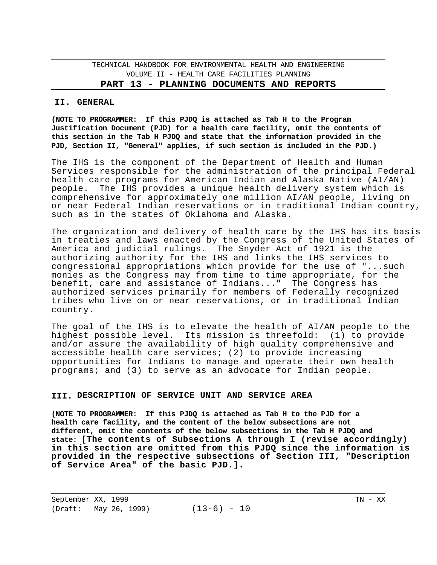#### **PART 13 - PLANNING DOCUMENTS AND REPORTS**

#### **II. GENERAL**

**(NOTE TO PROGRAMMER: If this PJDQ is attached as Tab H to the Program Justification Document (PJD) for a health care facility, omit the contents of this section in the Tab H PJDQ and state that the information provided in the PJD, Section II, "General" applies, if such section is included in the PJD.)** 

The IHS is the component of the Department of Health and Human Services responsible for the administration of the principal Federal health care programs for American Indian and Alaska Native (AI/AN) people. The IHS provides a unique health delivery system which is comprehensive for approximately one million AI/AN people, living on or near Federal Indian reservations or in traditional Indian country, such as in the states of Oklahoma and Alaska.

The organization and delivery of health care by the IHS has its basis in treaties and laws enacted by the Congress of the United States of America and judicial rulings. The Snyder Act of 1921 is the authorizing authority for the IHS and links the IHS services to congressional appropriations which provide for the use of "...such monies as the Congress may from time to time appropriate, for the benefit, care and assistance of Indians..." The Congress has authorized services primarily for members of Federally recognized tribes who live on or near reservations, or in traditional Indian country.

The goal of the IHS is to elevate the health of AI/AN people to the highest possible level. Its mission is threefold: (1) to provide and/or assure the availability of high quality comprehensive and accessible health care services; (2) to provide increasing opportunities for Indians to manage and operate their own health programs; and (3) to serve as an advocate for Indian people.

#### **III. DESCRIPTION OF SERVICE UNIT AND SERVICE AREA**

**(NOTE TO PROGRAMMER: If this PJDQ is attached as Tab H to the PJD for a health care facility, and the content of the below subsections are not different, omit the contents of the below subsections in the Tab H PJDQ and state: [The contents of Subsections A through I (revise accordingly) in this section are omitted from this PJDQ since the information is provided in the respective subsections of Section III, "Description of Service Area" of the basic PJD.].**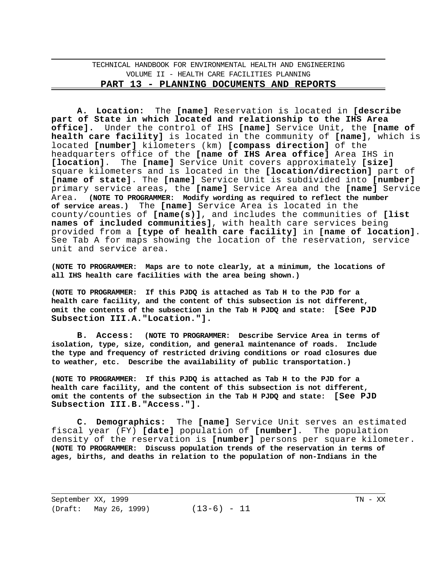**A. Location:** The **[name]** Reservation is located in **[describe part of State in which located and relationship to the IHS Area office].** Under the control of IHS **[name]** Service Unit, the **[name of health care facility]** is located in the community of **[name]**, which is located **[number]** kilometers (km) **[compass direction]** of the headquarters office of the **[name of IHS Area office]** Area IHS in **[location]**. The **[name]** Service Unit covers approximately **[size]** square kilometers and is located in the **[location/direction]** part of **[name of state]**. The **[name]** Service Unit is subdivided into **[number]** primary service areas, the **[name]** Service Area and the **[name]** Service Area. **(NOTE TO PROGRAMMER: Modify wording as required to reflect the number of service areas.)** The **[name]** Service Area is located in the county/counties of **[name(s)]**, and includes the communities of **[list names of included communities]**, with health care services being provided from a **[type of health care facility]** in **[name of location]**. See Tab A for maps showing the location of the reservation, service unit and service area.

**(NOTE TO PROGRAMMER: Maps are to note clearly, at a minimum, the locations of all IHS health care facilities with the area being shown.)** 

**(NOTE TO PROGRAMMER: If this PJDQ is attached as Tab H to the PJD for a health care facility, and the content of this subsection is not different, omit the contents of the subsection in the Tab H PJDQ and state: [See PJD Subsection III.A."Location."].** 

**B. Access: (NOTE TO PROGRAMMER: Describe Service Area in terms of isolation, type, size, condition, and general maintenance of roads. Include the type and frequency of restricted driving conditions or road closures due to weather, etc. Describe the availability of public transportation.)** 

**(NOTE TO PROGRAMMER: If this PJDQ is attached as Tab H to the PJD for a health care facility, and the content of this subsection is not different, omit the contents of the subsection in the Tab H PJDQ and state: [See PJD Subsection III.B."Access."].** 

**C. Demographics:** The **[name]** Service Unit serves an estimated fiscal year (FY) **[date]** population of **[number]**. The population density of the reservation is **[number]** persons per square kilometer. **(NOTE TO PROGRAMMER: Discuss population trends of the reservation in terms of ages, births, and deaths in relation to the population of non-Indians in the**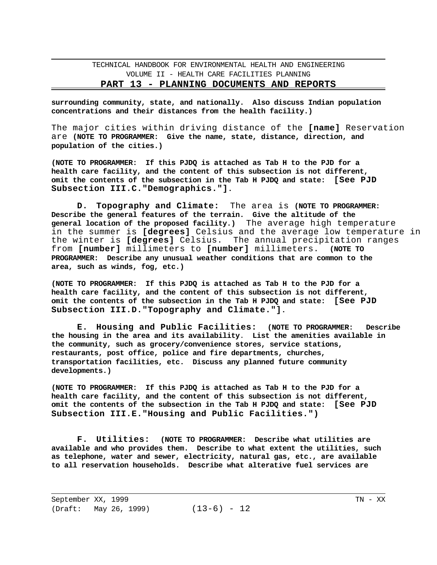**surrounding community, state, and nationally. Also discuss Indian population concentrations and their distances from the health facility.)** 

The major cities within driving distance of the **[name]** Reservation are **(NOTE TO PROGRAMMER: Give the name, state, distance, direction, and population of the cities.)** 

**(NOTE TO PROGRAMMER: If this PJDQ is attached as Tab H to the PJD for a health care facility, and the content of this subsection is not different, omit the contents of the subsection in the Tab H PJDQ and state: [See PJD Subsection III.C."Demographics."].** 

**D. Topography and Climate:** The area is **(NOTE TO PROGRAMMER: Describe the general features of the terrain. Give the altitude of the general location of the proposed facility.)** The average high temperature in the summer is **[degrees]** Celsius and the average low temperature in the winter is **[degrees]** Celsius. The annual precipitation ranges from **[number]** millimeters to **[number]** millimeters. **(NOTE TO PROGRAMMER: Describe any unusual weather conditions that are common to the area, such as winds, fog, etc.)** 

**(NOTE TO PROGRAMMER: If this PJDQ is attached as Tab H to the PJD for a health care facility, and the content of this subsection is not different, omit the contents of the subsection in the Tab H PJDQ and state: [See PJD Subsection III.D."Topography and Climate."].** 

**E. Housing and Public Facilities: (NOTE TO PROGRAMMER: Describe the housing in the area and its availability**. **List the amenities available in the community, such as grocery/convenience stores, service stations, restaurants, post office, police and fire departments, churches, transportation facilities, etc. Discuss any planned future community developments.)** 

**(NOTE TO PROGRAMMER: If this PJDQ is attached as Tab H to the PJD for a health care facility, and the content of this subsection is not different, omit the contents of the subsection in the Tab H PJDQ and state: [See PJD Subsection III.E."Housing and Public Facilities.")** 

**F. Utilities: (NOTE TO PROGRAMMER: Describe what utilities are available and who provides them. Describe to what extent the utilities, such as telephone, water and sewer, electricity, natural gas, etc., are available to all reservation households. Describe what alterative fuel services are**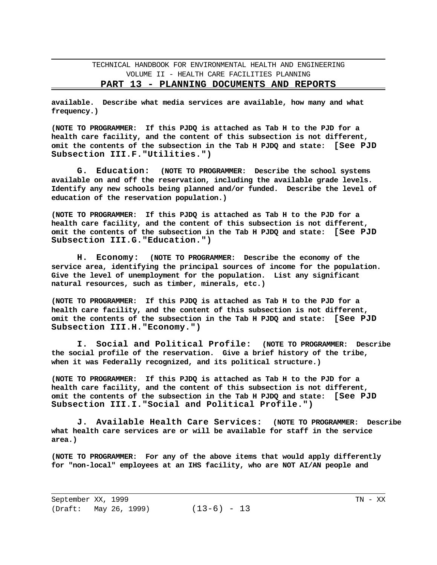**PART 13 - PLANNING DOCUMENTS AND REPORTS** 

**available. Describe what media services are available, how many and what frequency.)** 

**(NOTE TO PROGRAMMER: If this PJDQ is attached as Tab H to the PJD for a health care facility, and the content of this subsection is not different, omit the contents of the subsection in the Tab H PJDQ and state: [See PJD Subsection III.F."Utilities.")** 

**G. Education: (NOTE TO PROGRAMMER: Describe the school systems available on and off the reservation, including the available grade levels. Identify any new schools being planned and/or funded. Describe the level of education of the reservation population.)** 

**(NOTE TO PROGRAMMER: If this PJDQ is attached as Tab H to the PJD for a health care facility, and the content of this subsection is not different, omit the contents of the subsection in the Tab H PJDQ and state: [See PJD Subsection III.G."Education.")** 

**H. Economy: (NOTE TO PROGRAMMER: Describe the economy of the service area, identifying the principal sources of income for the population. Give the level of unemployment for the population. List any significant natural resources, such as timber, minerals, etc.)** 

**(NOTE TO PROGRAMMER: If this PJDQ is attached as Tab H to the PJD for a health care facility, and the content of this subsection is not different, omit the contents of the subsection in the Tab H PJDQ and state: [See PJD Subsection III.H."Economy.")** 

**I. Social and Political Profile: (NOTE TO PROGRAMMER: Describe the social profile of the reservation. Give a brief history of the tribe, when it was Federally recognized, and its political structure.)** 

**(NOTE TO PROGRAMMER: If this PJDQ is attached as Tab H to the PJD for a health care facility, and the content of this subsection is not different, omit the contents of the subsection in the Tab H PJDQ and state: [See PJD Subsection III.I."Social and Political Profile.")** 

**J. Available Health Care Services: (NOTE TO PROGRAMMER: Describe what health care services are or will be available for staff in the service area.)** 

**(NOTE TO PROGRAMMER: For any of the above items that would apply differently for "non-local" employees at an IHS facility, who are NOT AI/AN people and**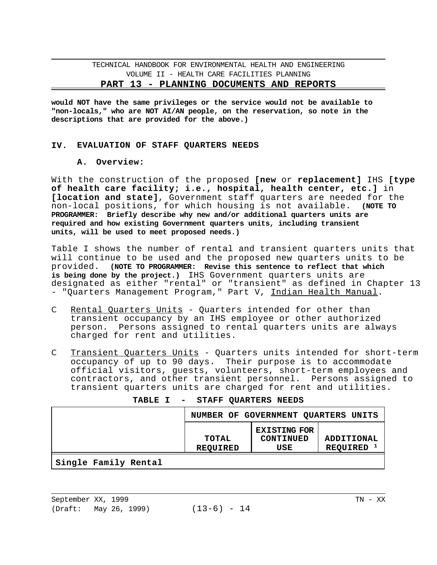**would NOT have the same privileges or the service would not be available to "non-locals," who are NOT AI/AN people, on the reservation, so note in the descriptions that are provided for the above.)** 

#### **IV. EVALUATION OF STAFF QUARTERS NEEDS**

#### **A. Overview:**

With the construction of the proposed **[new** or **replacement]** IHS **[type of health care facility; i.e., hospital, health center, etc.]** in **[location and state]**, Government staff quarters are needed for the non-local positions, for which housing is not available. **(NOTE TO PROGRAMMER: Briefly describe why new and/or additional quarters units are required and how existing Government quarters units, including transient units, will be used to meet proposed needs.)** 

Table I shows the number of rental and transient quarters units that will continue to be used and the proposed new quarters units to be provided. **(NOTE TO PROGRAMMER: Revise this sentence to reflect that which is being done by the project.)** IHS Government quarters units are designated as either "rental" or "transient" as defined in Chapter 13 - "Quarters Management Program," Part V, Indian Health Manual.

- C Rental Quarters Units Quarters intended for other than transient occupancy by an IHS employee or other authorized person. Persons assigned to rental quarters units are always charged for rent and utilities.
- C Transient Quarters Units Quarters units intended for short-term occupancy of up to 90 days. Their purpose is to accommodate official visitors, guests, volunteers, short-term employees and contractors, and other transient personnel. Persons assigned to transient quarters units are charged for rent and utilities.

|                      |                          | NUMBER OF GOVERNMENT QUARTERS UNITS     |                                     |
|----------------------|--------------------------|-----------------------------------------|-------------------------------------|
|                      | TOTAL<br><b>REQUIRED</b> | <b>EXISTING FOR</b><br>CONTINUED<br>USE | ADDITIONAL<br>REQUIRED <sup>1</sup> |
| Single Family Rental |                          |                                         |                                     |

| <b>TABLE I</b> |  | STAFF QUARTERS NEEDS |  |  |
|----------------|--|----------------------|--|--|
|----------------|--|----------------------|--|--|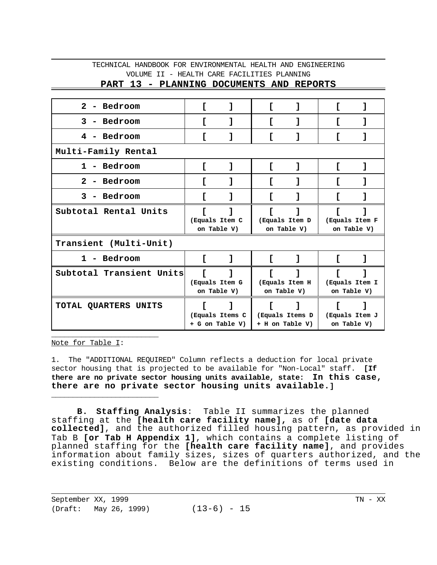| PART 13 - PLANNING DOCUMENTS AND REPORTS |  |  |
|------------------------------------------|--|--|
|                                          |  |  |

| - Bedroom<br>$2^{\circ}$  |                               |                                    |                                    |                               |                               |  |
|---------------------------|-------------------------------|------------------------------------|------------------------------------|-------------------------------|-------------------------------|--|
| 3<br>- Bedroom            |                               |                                    |                                    |                               |                               |  |
| Bedroom<br>4              |                               |                                    |                                    |                               |                               |  |
| Multi-Family Rental       |                               |                                    |                                    |                               |                               |  |
| - Bedroom<br>$\mathbf 1$  |                               | 1                                  | ı                                  |                               |                               |  |
| $\mathbf{2}$<br>- Bedroom |                               |                                    |                                    |                               |                               |  |
| 3<br>- Bedroom            |                               |                                    |                                    |                               |                               |  |
| Subtotal Rental Units     |                               | (Equals Item C<br>on Table V)      | (Equals Item D<br>on Table V)      |                               | (Equals Item F<br>on Table V) |  |
| Transient (Multi-Unit)    |                               |                                    |                                    |                               |                               |  |
| 1 - Bedroom               | Г                             | 1                                  | I                                  |                               |                               |  |
| Subtotal Transient Units  | (Equals Item G<br>on Table V) |                                    | (Equals Item H<br>on Table V)      |                               | (Equals Item I<br>on Table V) |  |
| TOTAL QUARTERS UNITS      |                               | (Equals Items C<br>+ G on Table V) | (Equals Items D<br>+ H on Table V) | (Equals Item J<br>on Table V) |                               |  |

Note for Table I:

\_\_\_\_\_\_\_\_\_\_\_\_\_\_\_\_\_\_\_\_\_\_\_\_\_

\_\_\_\_\_\_\_\_\_\_\_\_\_\_\_\_\_\_\_\_\_\_\_\_\_

1. The "ADDITIONAL REQUIRED" Column reflects a deduction for local private sector housing that is projected to be available for "Non-Local" staff. **[If there are no private sector housing units available, state: In this case, there are no private sector housing units available.]** 

**B. Staffing Analysis**: Table II summarizes the planned staffing at the **[health care facility name],** as of **[date data collected]**, and the authorized filled housing pattern, as provided in Tab B **[or Tab H Appendix 1]**, which contains a complete listing of planned staffing for the **[health care facility name]**, and provides information about family sizes, sizes of quarters authorized, and the existing conditions. Below are the definitions of terms used in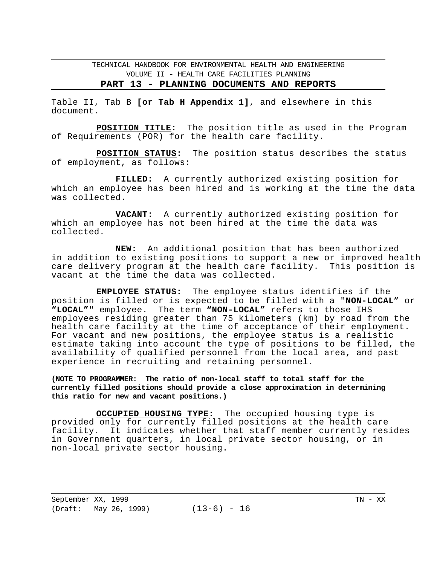#### **PART 13 - PLANNING DOCUMENTS AND REPORTS**

Table II, Tab B **[or Tab H Appendix 1]**, and elsewhere in this document.

**POSITION TITLE:** The position title as used in the Program of Requirements (POR) for the health care facility.

**POSITION STATUS:** The position status describes the status of employment, as follows:

**FILLED:** A currently authorized existing position for which an employee has been hired and is working at the time the data was collected.

**VACANT**: A currently authorized existing position for which an employee has not been hired at the time the data was collected.

**NEW:** An additional position that has been authorized in addition to existing positions to support a new or improved health care delivery program at the health care facility. This position is vacant at the time the data was collected.

**EMPLOYEE STATUS:** The employee status identifies if the position is filled or is expected to be filled with a "**NON-LOCAL"** or **"LOCAL"**" employee. The term **"NON-LOCAL"** refers to those IHS employees residing greater than 75 kilometers (km) by road from the health care facility at the time of acceptance of their employment. For vacant and new positions, the employee status is a realistic estimate taking into account the type of positions to be filled, the availability of qualified personnel from the local area, and past experience in recruiting and retaining personnel.

**(NOTE TO PROGRAMMER: The ratio of non-local staff to total staff for the currently filled positions should provide a close approximation in determining this ratio for new and vacant positions.)** 

**OCCUPIED HOUSING TYPE:** The occupied housing type is provided only for currently filled positions at the health care facility. It indicates whether that staff member currently resides in Government quarters, in local private sector housing, or in non-local private sector housing.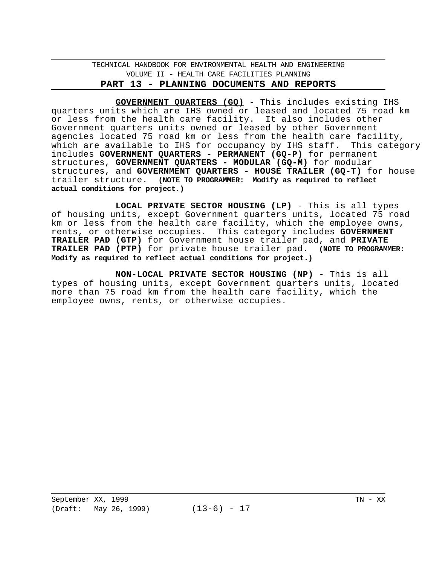**GOVERNMENT QUARTERS (GQ)** - This includes existing IHS quarters units which are IHS owned or leased and located 75 road km or less from the health care facility. It also includes other Government quarters units owned or leased by other Government agencies located 75 road km or less from the health care facility, which are available to IHS for occupancy by IHS staff. This category includes **GOVERNMENT QUARTERS - PERMANENT (GQ-P)** for permanent structures, **GOVERNMENT QUARTERS - MODULAR (GQ-M)** for modular structures, and **GOVERNMENT QUARTERS - HOUSE TRAILER (GQ-T)** for house trailer structure. **(NOTE TO PROGRAMMER: Modify as required to reflect actual conditions for project.)** 

**LOCAL PRIVATE SECTOR HOUSING (LP)** - This is all types of housing units, except Government quarters units, located 75 road km or less from the health care facility, which the employee owns, rents, or otherwise occupies. This category includes **GOVERNMENT TRAILER PAD (GTP)** for Government house trailer pad, and **PRIVATE TRAILER PAD (PTP)** for private house trailer pad. **(NOTE TO PROGRAMMER: Modify as required to reflect actual conditions for project.)** 

**NON-LOCAL PRIVATE SECTOR HOUSING (NP)** - This is all types of housing units, except Government quarters units, located more than 75 road km from the health care facility, which the employee owns, rents, or otherwise occupies.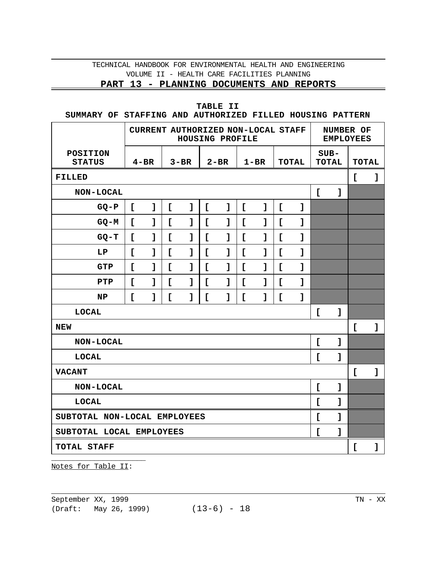**PART 13 - PLANNING DOCUMENTS AND REPORTS** 

### **TABLE II**

**SUMMARY OF STAFFING AND AUTHORIZED FILLED HOUSING PATTERN**

|                                  |              | CURRENT AUTHORIZED NON-LOCAL STAFF | HOUSING PROFILE |          | NUMBER OF<br><b>EMPLOYEES</b> |              |              |              |              |              |              |              |              |              |
|----------------------------------|--------------|------------------------------------|-----------------|----------|-------------------------------|--------------|--------------|--------------|--------------|--------------|--------------|--------------|--------------|--------------|
| <b>POSITION</b><br><b>STATUS</b> | $4 - BR$     |                                    |                 | $3 - BR$ |                               | $2 - BR$     |              | $1 - BR$     |              | <b>TOTAL</b> | $SUB-$       | <b>TOTAL</b> | <b>TOTAL</b> |              |
| <b>FILLED</b>                    |              |                                    |                 |          |                               |              |              |              |              |              |              |              | $\mathsf{L}$ | ľ            |
| NON-LOCAL                        |              |                                    |                 |          |                               |              |              |              |              |              | $\Gamma$     | I            |              |              |
| $GQ-P$                           | $\mathbf{r}$ | $\mathbf{I}$                       | $\mathsf{L}$    | I        | $\mathsf{L}$                  | $\mathbf{I}$ | $\mathsf{L}$ | $\mathbf{I}$ | $\mathsf{r}$ | 1            |              |              |              |              |
| $GO-M$                           | $\mathbf{r}$ | $\mathbf{I}$                       | $\mathsf{L}$    | 1        | $\mathbf{r}$                  | 1            | $\mathsf{L}$ | $\mathbf{I}$ | $\mathbf{r}$ | 1            |              |              |              |              |
| $GQ-T$                           | $\mathbf{r}$ | $\mathbf{I}$                       | $\mathsf{L}$    | ľ        | $\mathbf{r}$                  | $\mathbf{I}$ | $\mathsf{r}$ | $\mathbf{I}$ | $\mathsf{r}$ | I            |              |              |              |              |
| LP                               | $\Gamma$     | ı                                  | $\mathbf{r}$    | 1        | I.                            | 1            | $\mathsf{L}$ | ı            | $\Gamma$     | ı            |              |              |              |              |
| <b>GTP</b>                       | $\mathsf{L}$ | $\mathbf{I}$                       | $\mathsf{r}$    | 1        | I.                            | $\mathbf{I}$ | $\mathsf{r}$ | $\mathbf{I}$ | Ľ            | ľ            |              |              |              |              |
| PTP                              | $\mathsf{r}$ | $\mathbf{I}$                       | $\Gamma$        | ľ        | $\mathbf{r}$                  | 1            | $\mathsf{r}$ | ľ            | $\Gamma$     | ľ            |              |              |              |              |
| NP                               | $\mathsf{L}$ | $\mathbf{I}$                       | $\mathbf{r}$    | 1        | L                             | 1            | $\mathsf{L}$ | ı            | $\mathbf{r}$ | ľ            |              |              |              |              |
| <b>LOCAL</b>                     |              |                                    |                 |          |                               |              |              |              |              |              | Ľ            | $\mathbf{I}$ |              |              |
| <b>NEW</b>                       |              |                                    |                 |          |                               |              |              |              |              |              |              |              | $\mathbf{r}$ | $\mathbf{I}$ |
| NON-LOCAL                        |              |                                    |                 |          |                               |              |              |              |              |              | $\mathsf{r}$ | I            |              |              |
| <b>LOCAL</b>                     |              |                                    |                 |          |                               |              |              |              |              |              | <sub>L</sub> | I            |              |              |
| <b>VACANT</b>                    |              |                                    |                 |          |                               |              |              |              |              |              |              |              | $\mathsf{L}$ | $\mathbf{I}$ |
| NON-LOCAL                        |              |                                    |                 |          |                               |              |              |              |              |              | $\mathsf{r}$ | $\mathbf{I}$ |              |              |
| <b>LOCAL</b>                     |              |                                    |                 |          |                               |              |              |              |              |              | <sub>L</sub> | ľ            |              |              |
| SUBTOTAL NON-LOCAL EMPLOYEES     |              |                                    |                 |          |                               |              |              |              |              |              | <b>r</b>     | $\mathbf{I}$ |              |              |
| SUBTOTAL LOCAL EMPLOYEES         |              |                                    |                 |          |                               |              |              |              |              |              | $\Gamma$     | l            |              |              |
| <b>TOTAL STAFF</b>               |              |                                    |                 |          |                               |              |              |              |              |              |              |              | Ľ            | I            |

\_\_\_\_\_\_\_\_\_\_\_\_\_\_\_\_\_\_\_\_\_\_ Notes for Table II: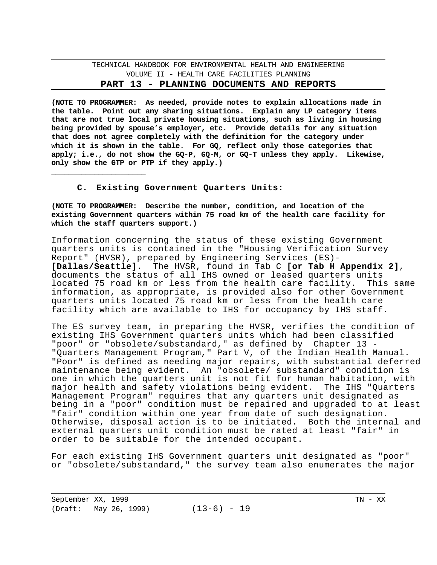**(NOTE TO PROGRAMMER: As needed, provide notes to explain allocations made in the table. Point out any sharing situations. Explain any LP category items that are not true local private housing situations, such as living in housing being provided by spouse's employer, etc. Provide details for any situation that does not agree completely with the definition for the category under which it is shown in the table. For GQ, reflect only those categories that apply; i.e., do not show the GQ-P, GQ-M, or GQ-T unless they apply. Likewise, only show the GTP or PTP if they apply.)** 

**C. Existing Government Quarters Units:** 

**(NOTE TO PROGRAMMER: Describe the number, condition, and location of the existing Government quarters within 75 road km of the health care facility for which the staff quarters support.)** 

Information concerning the status of these existing Government quarters units is contained in the "Housing Verification Survey Report" (HVSR), prepared by Engineering Services (ES) **[Dallas/Seattle]**. The HVSR, found in Tab C **[or Tab H Appendix 2]**, documents the status of all IHS owned or leased quarters units located 75 road km or less from the health care facility. This same information, as appropriate, is provided also for other Government quarters units located 75 road km or less from the health care facility which are available to IHS for occupancy by IHS staff.

The ES survey team, in preparing the HVSR, verifies the condition of existing IHS Government quarters units which had been classified "poor" or "obsolete/substandard," as defined by Chapter 13 -"Quarters Management Program," Part V, of the Indian Health Manual. "Poor" is defined as needing major repairs, with substantial deferred maintenance being evident. An "obsolete/ substandard" condition is one in which the quarters unit is not fit for human habitation, with major health and safety violations being evident. The IHS "Quarters Management Program" requires that any quarters unit designated as being in a "poor" condition must be repaired and upgraded to at least "fair" condition within one year from date of such designation. Otherwise, disposal action is to be initiated. Both the internal and external quarters unit condition must be rated at least "fair" in order to be suitable for the intended occupant.

For each existing IHS Government quarters unit designated as "poor" or "obsolete/substandard," the survey team also enumerates the major

| September XX, 1999 |                       |               | TN - XX |
|--------------------|-----------------------|---------------|---------|
|                    | (Draft: May 26, 1999) | $(13-6) - 19$ |         |

\_\_\_\_\_\_\_\_\_\_\_\_\_\_\_\_\_\_\_\_\_\_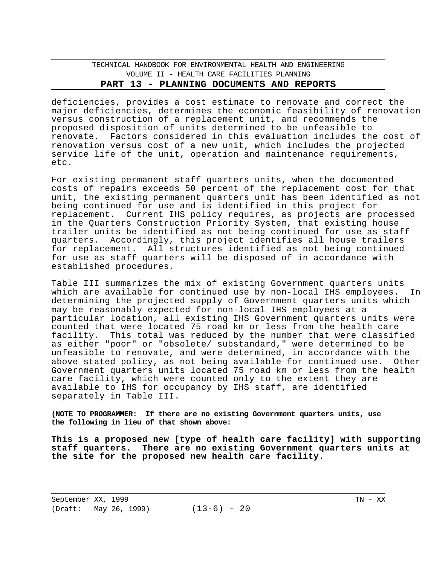deficiencies, provides a cost estimate to renovate and correct the major deficiencies, determines the economic feasibility of renovation versus construction of a replacement unit, and recommends the proposed disposition of units determined to be unfeasible to renovate. Factors considered in this evaluation includes the cost of renovation versus cost of a new unit, which includes the projected service life of the unit, operation and maintenance requirements, etc.

For existing permanent staff quarters units, when the documented costs of repairs exceeds 50 percent of the replacement cost for that unit, the existing permanent quarters unit has been identified as not being continued for use and is identified in this project for replacement. Current IHS policy requires, as projects are processed in the Quarters Construction Priority System, that existing house trailer units be identified as not being continued for use as staff quarters. Accordingly, this project identifies all house trailers for replacement. All structures identified as not being continued for use as staff quarters will be disposed of in accordance with established procedures.

Table III summarizes the mix of existing Government quarters units which are available for continued use by non-local IHS employees. In determining the projected supply of Government quarters units which may be reasonably expected for non-local IHS employees at a particular location, all existing IHS Government quarters units were counted that were located 75 road km or less from the health care facility. This total was reduced by the number that were classified as either "poor" or "obsolete/ substandard," were determined to be unfeasible to renovate, and were determined, in accordance with the above stated policy, as not being available for continued use. Other Government quarters units located 75 road km or less from the health care facility, which were counted only to the extent they are available to IHS for occupancy by IHS staff, are identified separately in Table III.

**(NOTE TO PROGRAMMER: If there are no existing Government quarters units, use the following in lieu of that shown above:** 

**This is a proposed new [type of health care facility] with supporting staff quarters. There are no existing Government quarters units at the site for the proposed new health care facility.**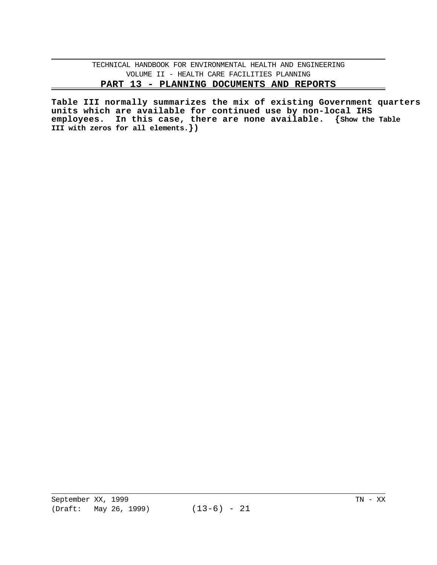**Table III normally summarizes the mix of existing Government quarters units which are available for continued use by non-local IHS employees. In this case, there are none available. {Show the Table III with zeros for all elements.})**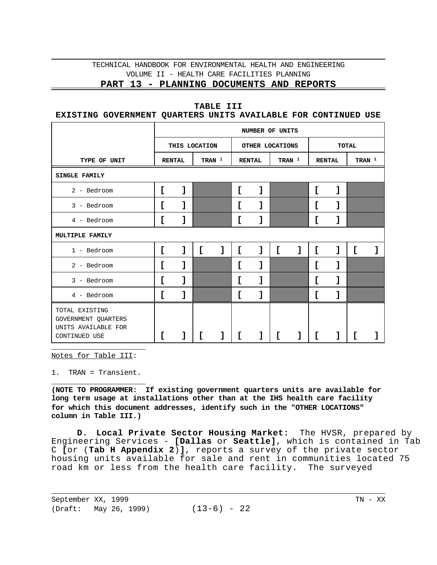### **PART 13 - PLANNING DOCUMENTS AND REPORTS**

### **TABLE III**

# **EXISTING GOVERNMENT QUARTERS UNITS AVAILABLE FOR CONTINUED USE**

|                                                                               | NUMBER OF UNITS |               |                   |   |   |                 |   |          |               |   |                   |  |  |  |
|-------------------------------------------------------------------------------|-----------------|---------------|-------------------|---|---|-----------------|---|----------|---------------|---|-------------------|--|--|--|
|                                                                               |                 | THIS LOCATION |                   |   |   | OTHER LOCATIONS |   |          | <b>TOTAL</b>  |   |                   |  |  |  |
| TYPE OF UNIT                                                                  |                 | <b>RENTAL</b> | TRAN <sup>1</sup> |   |   | <b>RENTAL</b>   |   | TRAN $1$ | <b>RENTAL</b> |   | TRAN <sup>1</sup> |  |  |  |
| SINGLE FAMILY                                                                 |                 |               |                   |   |   |                 |   |          |               |   |                   |  |  |  |
| 2 - Bedroom                                                                   | c               |               |                   |   | c | 1               |   |          | c             | 1 |                   |  |  |  |
| 3 - Bedroom                                                                   | L               |               |                   |   |   | J               |   |          | c             | 1 |                   |  |  |  |
| 4 - Bedroom                                                                   | E               |               |                   |   | c |                 |   |          | c             | 1 |                   |  |  |  |
| MULTIPLE FAMILY                                                               |                 |               |                   |   |   |                 |   |          |               |   |                   |  |  |  |
| $1 - \text{Bedroom}$                                                          | ſ               | 1             | ſ                 | J | Ľ | ı               | Ľ | 1        | c             | 1 | Ľ                 |  |  |  |
| 2 - Bedroom                                                                   | L               |               |                   |   | L | 1               |   |          | c             | ı |                   |  |  |  |
| 3 - Bedroom                                                                   | E               |               |                   |   | c | 1               |   |          | C             | 1 |                   |  |  |  |
| 4 - Bedroom                                                                   | L               | 1             |                   |   | Ľ | J               |   |          | C             | ı |                   |  |  |  |
| TOTAL EXISTING<br>GOVERNMENT QUARTERS<br>UNITS AVAILABLE FOR<br>CONTINUED USE |                 |               |                   |   | L |                 |   |          | [             |   |                   |  |  |  |

Notes for Table III:

\_\_\_\_\_\_\_\_\_\_\_\_\_\_\_\_\_\_\_\_\_\_

\_\_\_\_\_\_\_\_\_\_\_\_\_\_\_\_\_\_\_\_\_\_ 1. TRAN = Transient.

**(NOTE TO PROGRAMMER: If existing government quarters units are available for long term usage at installations other than at the IHS health care facility for which this document addresses, identify such in the "OTHER LOCATIONS" column in Table III.)** 

**D. Local Private Sector Housing Market:** The HVSR, prepared by Engineering Services - **[Dallas** or **Seattle]**, which is contained in Tab C **[**or (**Tab H Appendix 2**)**]**, reports a survey of the private sector housing units available for sale and rent in communities located 75 road km or less from the health care facility. The surveyed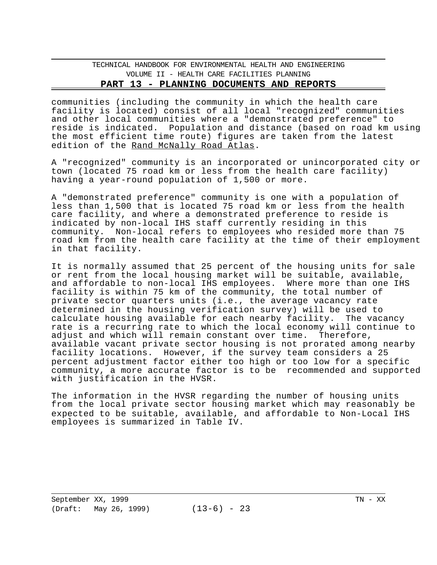communities (including the community in which the health care facility is located) consist of all local "recognized" communities and other local communities where a "demonstrated preference" to reside is indicated. Population and distance (based on road km using the most efficient time route) figures are taken from the latest edition of the Rand McNally Road Atlas.

A "recognized" community is an incorporated or unincorporated city or town (located 75 road km or less from the health care facility) having a year-round population of 1,500 or more.

A "demonstrated preference" community is one with a population of less than 1,500 that is located 75 road km or less from the health care facility, and where a demonstrated preference to reside is indicated by non-local IHS staff currently residing in this community. Non-local refers to employees who resided more than 75 road km from the health care facility at the time of their employment in that facility.

It is normally assumed that 25 percent of the housing units for sale or rent from the local housing market will be suitable, available, and affordable to non-local IHS employees. Where more than one IHS facility is within 75 km of the community, the total number of private sector quarters units (i.e., the average vacancy rate determined in the housing verification survey) will be used to calculate housing available for each nearby facility. The vacancy rate is a recurring rate to which the local economy will continue to adjust and which will remain constant over time. Therefore, adjust and which will remain constant over time. available vacant private sector housing is not prorated among nearby facility locations. However, if the survey team considers a 25 percent adjustment factor either too high or too low for a specific community, a more accurate factor is to be recommended and supported with justification in the HVSR.

The information in the HVSR regarding the number of housing units from the local private sector housing market which may reasonably be expected to be suitable, available, and affordable to Non-Local IHS employees is summarized in Table IV.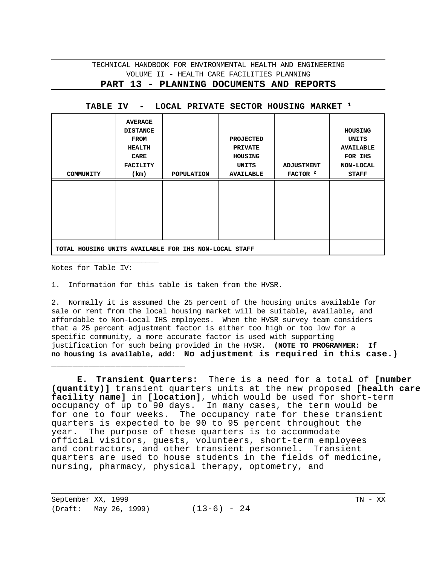### **PART 13 - PLANNING DOCUMENTS AND REPORTS**

| COMMUNITY                                             | AVERAGE<br><b>DISTANCE</b><br>FROM<br><b>HEALTH</b><br>CARE<br><b>FACILITY</b><br>(km) | POPULATION | <b>PROJECTED</b><br><b>PRIVATE</b><br>HOUSING<br>UNITS<br><b>AVAILABLE</b> | <b>ADJUSTMENT</b><br>FACTOR <sup>2</sup> | HOUSING<br>UNITS<br><b>AVAILABLE</b><br>FOR IHS<br>NON-LOCAL<br><b>STAFF</b> |
|-------------------------------------------------------|----------------------------------------------------------------------------------------|------------|----------------------------------------------------------------------------|------------------------------------------|------------------------------------------------------------------------------|
|                                                       |                                                                                        |            |                                                                            |                                          |                                                                              |
|                                                       |                                                                                        |            |                                                                            |                                          |                                                                              |
|                                                       |                                                                                        |            |                                                                            |                                          |                                                                              |
|                                                       |                                                                                        |            |                                                                            |                                          |                                                                              |
|                                                       |                                                                                        |            |                                                                            |                                          |                                                                              |
| TOTAL HOUSING UNITS AVAILABLE FOR IHS NON-LOCAL STAFF |                                                                                        |            |                                                                            |                                          |                                                                              |

#### **TABLE IV - LOCAL PRIVATE SECTOR HOUSING MARKET 1**

\_\_\_\_\_\_\_\_\_\_\_\_\_\_\_\_\_\_\_\_\_\_\_\_\_ Notes for Table IV:

1. Information for this table is taken from the HVSR.

2. Normally it is assumed the 25 percent of the housing units available for sale or rent from the local housing market will be suitable, available, and affordable to Non-Local IHS employees. When the HVSR survey team considers that a 25 percent adjustment factor is either too high or too low for a specific community, a more accurate factor is used with supporting justification for such being provided in the HVSR. **(NOTE TO PROGRAMMER: If no housing is available, add: No adjustment is required in this case.)** 

**E. Transient Quarters:** There is a need for a total of **[number (quantity)]** transient quarters units at the new proposed **[health care facility name]** in **[location]**, which would be used for short-term occupancy of up to 90 days. In many cases, the term would be for one to four weeks. The occupancy rate for these transient quarters is expected to be 90 to 95 percent throughout the year. The purpose of these quarters is to accommodate official visitors, guests, volunteers, short-term employees and contractors, and other transient personnel. Transient quarters are used to house students in the fields of medicine, nursing, pharmacy, physical therapy, optometry, and

September XX, 1999 TN - XX (Draft: May 26, 1999) (13-6) - 24

\_\_\_\_\_\_\_\_\_\_\_\_\_\_\_\_\_\_\_\_\_\_\_\_\_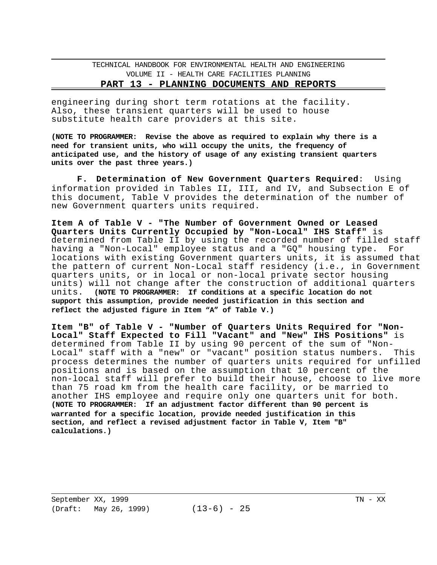#### **PART 13 - PLANNING DOCUMENTS AND REPORTS**

engineering during short term rotations at the facility. Also, these transient quarters will be used to house substitute health care providers at this site.

**(NOTE TO PROGRAMMER: Revise the above as required to explain why there is a need for transient units, who will occupy the units, the frequency of anticipated use, and the history of usage of any existing transient quarters units over the past three years.)** 

**F. Determination of New Government Quarters Required**: Using information provided in Tables II, III, and IV, and Subsection E of this document, Table V provides the determination of the number of new Government quarters units required.

**Item A of Table V - "The Number of Government Owned or Leased Quarters Units Currently Occupied by "Non-Local" IHS Staff"** is determined from Table II by using the recorded number of filled staff having a "Non-Local" employee status and a "GQ" housing type. For locations with existing Government quarters units, it is assumed that the pattern of current Non-Local staff residency (i.e., in Government quarters units, or in local or non-local private sector housing units) will not change after the construction of additional quarters units. **(NOTE TO PROGRAMMER: If conditions at a specific location do not support this assumption, provide needed justification in this section and reflect the adjusted figure in Item "A" of Table V.)** 

**Item "B" of Table V - "Number of Quarters Units Required for "Non-Local" Staff Expected to Fill "Vacant" and "New" IHS Positions"** is determined from Table II by using 90 percent of the sum of "Non-Local" staff with a "new" or "vacant" position status numbers. This process determines the number of quarters units required for unfilled positions and is based on the assumption that 10 percent of the non-local staff will prefer to build their house, choose to live more than 75 road km from the health care facility, or be married to another IHS employee and require only one quarters unit for both. **(NOTE TO PROGRAMMER: If an adjustment factor different than 90 percent is warranted for a specific location, provide needed justification in this section, and reflect a revised adjustment factor in Table V, Item "B" calculations.)**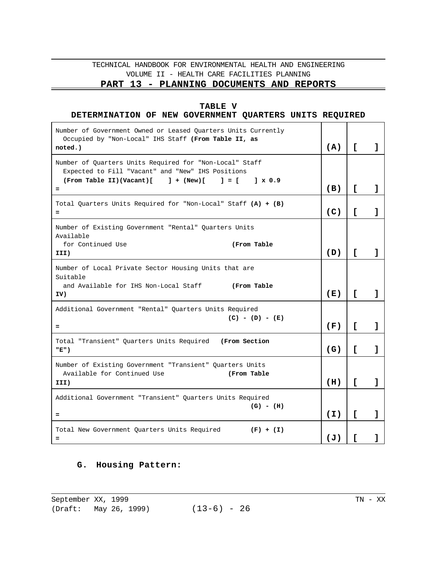# **PART 13 - PLANNING DOCUMENTS AND REPORTS**

### **TABLE V**

### **DETERMINATION OF NEW GOVERNMENT QUARTERS UNITS REQUIRED**

| Number of Government Owned or Leased Quarters Units Currently<br>Occupied by "Non-Local" IHS Staff (From Table II, as<br>noted.)                                                 | (A)            | L.           | ı |
|----------------------------------------------------------------------------------------------------------------------------------------------------------------------------------|----------------|--------------|---|
| Number of Quarters Units Required for "Non-Local" Staff<br>Expected to Fill "Vacant" and "New" IHS Positions<br>(From Table II)(Vacant)[ ] + (New)[<br>$1 = 1$<br>$1 \times 0.9$ |                |              |   |
| $=$                                                                                                                                                                              | (B)            | $\mathsf{L}$ | 1 |
| Total Quarters Units Required for "Non-Local" Staff (A) + (B)<br>$=$                                                                                                             | (C)            | L            |   |
| Number of Existing Government "Rental" Quarters Units<br>Available                                                                                                               |                |              |   |
| for Continued Use<br>(From Table<br>III)                                                                                                                                         | (D)            | Г            |   |
| Number of Local Private Sector Housing Units that are<br>Suitable<br>and Available for IHS Non-Local Staff (From Table                                                           |                |              |   |
| IV)                                                                                                                                                                              | (E)            | Г            | 1 |
| Additional Government "Rental" Quarters Units Required<br>$(C) - (D) - (E)$<br>$=$                                                                                               | (F)            | $\mathsf{L}$ | 1 |
| Total "Transient" Quarters Units Required (From Section<br>"E")                                                                                                                  | (G)            | $\mathsf{L}$ | 1 |
| Number of Existing Government "Transient" Quarters Units<br>Available for Continued Use<br>(From Table<br>III)                                                                   | (H)            | L            | ı |
| Additional Government "Transient" Quarters Units Required                                                                                                                        |                |              |   |
| $(G) - (H)$<br>$=$                                                                                                                                                               | (I)            | Г            | ı |
| Total New Government Quarters Units Required<br>$(F) + (I)$<br>$\qquad \qquad =$                                                                                                 | $(\mathbf{J})$ | Г            |   |

# **G. Housing Pattern:**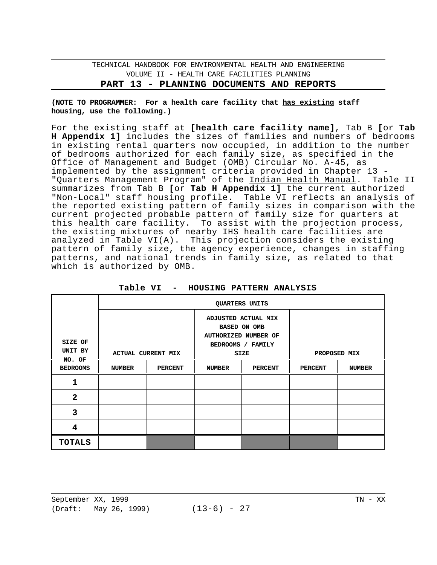**(NOTE TO PROGRAMMER: For a health care facility that has existing staff housing, use the following.)** 

For the existing staff at **[health care facility name]**, Tab B **[**or **Tab H Appendix 1]** includes the sizes of families and numbers of bedrooms in existing rental quarters now occupied, in addition to the number of bedrooms authorized for each family size, as specified in the Office of Management and Budget (OMB) Circular No. A-45, as implemented by the assignment criteria provided in Chapter 13 -<br>"Quarters Manaqement Program" of the Indian Health Manual. Table II "Quarters Management Program" of the Indian Health Manual. summarizes from Tab B **[**or **Tab H Appendix 1]** the current authorized "Non-Local" staff housing profile. Table VI reflects an analysis of the reported existing pattern of family sizes in comparison with the current projected probable pattern of family size for quarters at this health care facility. To assist with the projection process, the existing mixtures of nearby IHS health care facilities are analyzed in Table VI(A). This projection considers the existing pattern of family size, the agency experience, changes in staffing patterns, and national trends in family size, as related to that which is authorized by OMB.

|                                                |        |                | QUARTERS UNITS |                                                                                         |                |               |  |
|------------------------------------------------|--------|----------------|----------------|-----------------------------------------------------------------------------------------|----------------|---------------|--|
| SIZE OF                                        |        |                |                | ADJUSTED ACTUAL MIX<br><b>BASED ON OMB</b><br>AUTHORIZED NUMBER OF<br>BEDROOMS / FAMILY |                |               |  |
| UNIT BY<br><b>ACTUAL CURRENT MIX</b><br>NO. OF |        |                | SIZE           | PROPOSED MIX                                                                            |                |               |  |
| <b>BEDROOMS</b>                                | NUMBER | <b>PERCENT</b> | <b>NUMBER</b>  | <b>PERCENT</b>                                                                          | <b>PERCENT</b> | <b>NUMBER</b> |  |
| 1                                              |        |                |                |                                                                                         |                |               |  |
| $\overline{2}$                                 |        |                |                |                                                                                         |                |               |  |
| 3                                              |        |                |                |                                                                                         |                |               |  |
| 4                                              |        |                |                |                                                                                         |                |               |  |
| <b>TOTALS</b>                                  |        |                |                |                                                                                         |                |               |  |

**Table VI - HOUSING PATTERN ANALYSIS**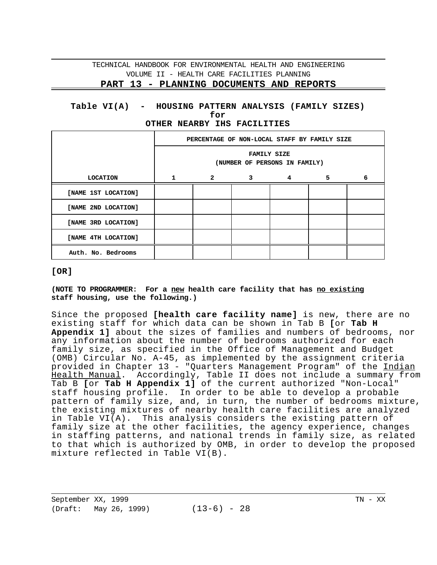#### **Table VI(A) - HOUSING PATTERN ANALYSIS (FAMILY SIZES) for OTHER NEARBY IHS FACILITIES**

|                     |              | PERCENTAGE OF NON-LOCAL STAFF BY FAMILY SIZE<br><b>FAMILY SIZE</b><br>(NUMBER OF PERSONS IN FAMILY) |              |   |   |   |  |  |  |
|---------------------|--------------|-----------------------------------------------------------------------------------------------------|--------------|---|---|---|--|--|--|
|                     |              |                                                                                                     |              |   |   |   |  |  |  |
| <b>LOCATION</b>     | $\mathbf{1}$ | $\mathbf{2}$                                                                                        | $\mathbf{3}$ | 4 | 5 | 6 |  |  |  |
| [NAME 1ST LOCATION] |              |                                                                                                     |              |   |   |   |  |  |  |
| [NAME 2ND LOCATION] |              |                                                                                                     |              |   |   |   |  |  |  |
| [NAME 3RD LOCATION] |              |                                                                                                     |              |   |   |   |  |  |  |
| [NAME 4TH LOCATION] |              |                                                                                                     |              |   |   |   |  |  |  |
| Auth. No. Bedrooms  |              |                                                                                                     |              |   |   |   |  |  |  |

#### **[OR]**

**(NOTE TO PROGRAMMER: For a new health care facility that has no existing staff housing, use the following.)** 

Since the proposed **[health care facility name]** is new, there are no existing staff for which data can be shown in Tab B **[**or **Tab H Appendix 1]** about the sizes of families and numbers of bedrooms, nor any information about the number of bedrooms authorized for each family size, as specified in the Office of Management and Budget (OMB) Circular No. A-45, as implemented by the assignment criteria provided in Chapter 13 - "Quarters Management Program" of the Indian Health Manual. Accordingly, Table II does not include a summary from Tab B **[**or **Tab H Appendix 1]** of the current authorized "Non-Local" staff housing profile. In order to be able to develop a probable pattern of family size, and, in turn, the number of bedrooms mixture, the existing mixtures of nearby health care facilities are analyzed in Table VI(A). This analysis considers the existing pattern of family size at the other facilities, the agency experience, changes in staffing patterns, and national trends in family size, as related to that which is authorized by OMB, in order to develop the proposed mixture reflected in Table VI(B).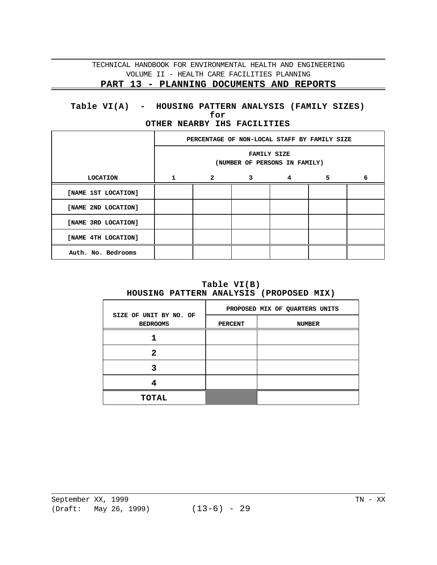# **PART 13 - PLANNING DOCUMENTS AND REPORTS**

### **Table VI(A) - HOUSING PATTERN ANALYSIS (FAMILY SIZES) for OTHER NEARBY IHS FACILITIES**

|                     |    | PERCENTAGE OF NON-LOCAL STAFF BY FAMILY SIZE        |             |   |    |   |  |  |  |
|---------------------|----|-----------------------------------------------------|-------------|---|----|---|--|--|--|
|                     |    | <b>FAMILY SIZE</b><br>(NUMBER OF PERSONS IN FAMILY) |             |   |    |   |  |  |  |
| <b>LOCATION</b>     | 1. | $\mathbf{2}$                                        | $3^{\circ}$ | 4 | 5. | 6 |  |  |  |
| [NAME 1ST LOCATION] |    |                                                     |             |   |    |   |  |  |  |
| [NAME 2ND LOCATION] |    |                                                     |             |   |    |   |  |  |  |
| [NAME 3RD LOCATION] |    |                                                     |             |   |    |   |  |  |  |
| [NAME 4TH LOCATION] |    |                                                     |             |   |    |   |  |  |  |
| Auth. No. Bedrooms  |    |                                                     |             |   |    |   |  |  |  |

**Table VI(B) HOUSING PATTERN ANALYSIS (PROPOSED MIX)** 

|                                           |                | PROPOSED MIX OF QUARTERS UNITS |
|-------------------------------------------|----------------|--------------------------------|
| SIZE OF UNIT BY NO. OF<br><b>BEDROOMS</b> | <b>PERCENT</b> | <b>NUMBER</b>                  |
|                                           |                |                                |
| 2                                         |                |                                |
|                                           |                |                                |
|                                           |                |                                |
| <b>TOTAL</b>                              |                |                                |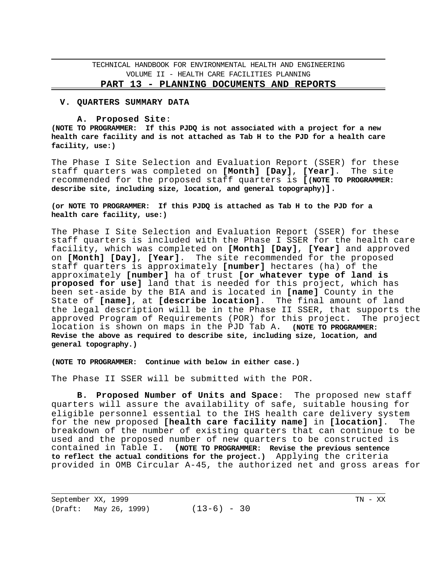#### **PART 13 - PLANNING DOCUMENTS AND REPORTS**

#### **V. QUARTERS SUMMARY DATA**

#### **A. Proposed Site**:

**(NOTE TO PROGRAMMER: If this PJDQ is not associated with a project for a new health care facility and is not attached as Tab H to the PJD for a health care facility, use:)** 

The Phase I Site Selection and Evaluation Report (SSER) for these staff quarters was completed on **[Month] [Day]**, **[Year]**. The site recommended for the proposed staff quarters is **[(NOTE TO PROGRAMMER: describe site, including size, location, and general topography)]**.

#### **(or NOTE TO PROGRAMMER: If this PJDQ is attached as Tab H to the PJD for a health care facility, use:)**

The Phase I Site Selection and Evaluation Report (SSER) for these staff quarters is included with the Phase I SSER for the health care facility, which was completed on **[Month] [Day]**, **[Year]** and approved on **[Month] [Day]**, **[Year]**. The site recommended for the proposed staff quarters is approximately **[number]** hectares (ha) of the approximately **[number]** ha of trust **[or whatever type of land is proposed for use]** land that is needed for this project, which has been set-aside by the BIA and is located in **[name]** County in the State of **[name]**, at **[describe location]**. The final amount of land the legal description will be in the Phase II SSER, that supports the approved Program of Requirements (POR) for this project. The project location is shown on maps in the PJD Tab A. **(NOTE TO PROGRAMMER: Revise the above as required to describe site, including size, location, and general topography.)** 

**(NOTE TO PROGRAMMER: Continue with below in either case.)** 

The Phase II SSER will be submitted with the POR.

**B. Proposed Number of Units and Space**: The proposed new staff quarters will assure the availability of safe, suitable housing for eligible personnel essential to the IHS health care delivery system for the new proposed **[health care facility name]** in **[location]**. The breakdown of the number of existing quarters that can continue to be used and the proposed number of new quarters to be constructed is<br>contained in Table I. (NOTE TO PROGRAMMER: Revise the previous sentence (NOTE TO PROGRAMMER: Revise the previous sentence **to reflect the actual conditions for the project.)** Applying the criteria provided in OMB Circular A-45, the authorized net and gross areas for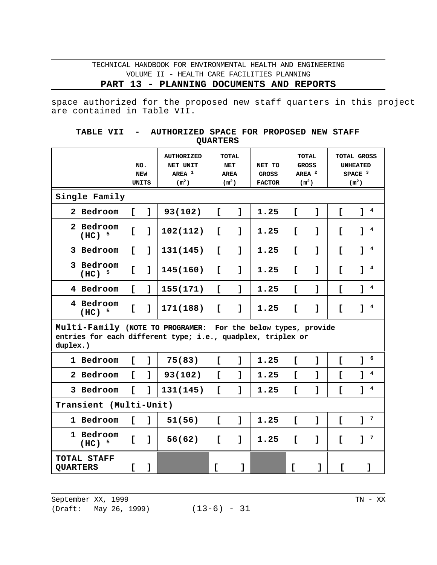**PART 13 - PLANNING DOCUMENTS AND REPORTS** 

space authorized for the proposed new staff quarters in this project are contained in Table VII.

| TABLE VII - |  | AUTHORIZED SPACE FOR PROPOSED NEW STAFF |                 |  |  |
|-------------|--|-----------------------------------------|-----------------|--|--|
|             |  |                                         | <b>OUARTERS</b> |  |  |

|                                                                                                                                          | NO.          | <b>NEW</b><br>UNITS | <b>AUTHORIZED</b><br>NET UNIT<br>AREA $1$<br>(m <sup>2</sup> ) | <b>TOTAL</b><br><b>NET</b><br><b>AREA</b><br>(m <sup>2</sup> ) |              | NET TO<br><b>GROSS</b><br><b>FACTOR</b> | <b>TOTAL</b><br><b>GROSS</b><br>AREA $^2$<br>(m <sup>2</sup> ) |   | <b>TOTAL GROSS</b><br><b>UNHEATED</b><br>SPACE $3$<br>(m <sup>2</sup> ) |                              |
|------------------------------------------------------------------------------------------------------------------------------------------|--------------|---------------------|----------------------------------------------------------------|----------------------------------------------------------------|--------------|-----------------------------------------|----------------------------------------------------------------|---|-------------------------------------------------------------------------|------------------------------|
| Single Family                                                                                                                            |              |                     |                                                                |                                                                |              |                                         |                                                                |   |                                                                         |                              |
| 2 Bedroom                                                                                                                                | $\mathsf{L}$ | ı                   | 93(102)                                                        | $\mathsf{L}$                                                   | $\mathbf{I}$ | 1.25                                    | $\mathsf{L}$                                                   | 1 | $\mathsf{L}$                                                            | $\overline{\mathbf{4}}$<br>٦ |
| 2 Bedroom<br>$(HC)^{-5}$                                                                                                                 | Ľ            | 1                   | 102(112)                                                       | $\mathsf{r}$                                                   | 1            | 1.25                                    | Ľ                                                              | 1 | L                                                                       | 4                            |
| 3 Bedroom                                                                                                                                | $\mathsf{r}$ | 1                   | 131(145)                                                       | $\mathsf{r}$                                                   | ı            | 1.25                                    | $\mathsf{L}$                                                   | 1 | $\mathsf{L}$                                                            | $\overline{\mathbf{4}}$<br>٦ |
| 3 Bedroom<br>$(HC)^{-5}$                                                                                                                 | Ľ            | 1                   | 145(160)                                                       | Ľ                                                              | $\mathbf{I}$ | 1.25                                    | Ľ                                                              | 1 | $\mathsf{r}$                                                            | 4                            |
| 4 Bedroom                                                                                                                                | $\mathbf{r}$ | 1                   | 155(171)                                                       | $\mathsf{r}$                                                   | ı            | 1.25                                    | $\mathsf{L}$                                                   | 1 | $\mathsf{L}$                                                            | $\overline{\mathbf{4}}$<br>٦ |
| 4 Bedroom<br>$(HC)^{5}$                                                                                                                  | Ľ            | 1                   | 171(188)                                                       | $\mathsf{r}$                                                   | $\mathbf{I}$ | 1.25                                    | Ľ                                                              | 1 | $\mathsf{r}$                                                            | 4<br>٦                       |
| Multi-Family (NOTE TO PROGRAMER: For the below types, provide<br>entries for each different type; i.e., quadplex, triplex or<br>duplex.) |              |                     |                                                                |                                                                |              |                                         |                                                                |   |                                                                         |                              |
| 1 Bedroom                                                                                                                                | $\mathsf{r}$ | $\mathbf{I}$        | 75(83)                                                         | $\mathsf{L}$                                                   | 1            | 1.25                                    | $\mathsf{L}$                                                   | 1 | $\mathsf{L}$                                                            | 6<br>1                       |
| 2 Bedroom                                                                                                                                | $\Gamma$     | $\mathbf{1}$        | 93(102)                                                        | $\mathsf{r}$                                                   | 1            | 1.25                                    | $\mathsf{L}$                                                   | 1 | $\mathsf{r}$                                                            | $\overline{\mathbf{4}}$<br>1 |
| 3 Bedroom                                                                                                                                | Ľ            | 1                   | 131(145)                                                       | $\mathsf{r}$                                                   | ı            | 1.25                                    | $\mathsf{L}$                                                   | 1 | $\mathsf{L}$                                                            | $\overline{\mathbf{4}}$<br>1 |
| Transient (Multi-Unit)                                                                                                                   |              |                     |                                                                |                                                                |              |                                         |                                                                |   |                                                                         |                              |
| 1 Bedroom                                                                                                                                | $\mathsf{r}$ | $\mathbf{I}$        | 51(56)                                                         | $\mathsf{r}$                                                   | ı            | 1.25                                    | $\mathsf{L}$                                                   | 1 | $\mathsf{L}$                                                            | 7<br>1                       |
| 1 Bedroom<br>- 5<br>(HC)                                                                                                                 | Ľ            | 1                   | 56(62)                                                         | I.                                                             | $\mathbf{I}$ | 1.25                                    | $\mathsf{L}$                                                   | 1 | $\mathsf{L}$                                                            | 7<br>1                       |
| TOTAL STAFF<br><b>QUARTERS</b>                                                                                                           | c            | 1                   |                                                                | I.                                                             | 1            |                                         | Ľ                                                              | 1 | Ľ                                                                       | 1                            |

September XX, 1999 TN - XX

(Draft: May 26, 1999) (13-6) - 31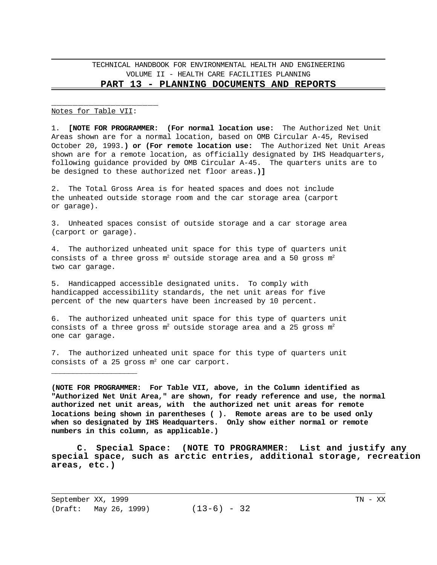#### Notes for Table VII:

\_\_\_\_\_\_\_\_\_\_\_\_\_\_\_\_\_\_\_\_

1. **[NOTE FOR PROGRAMMER: (For normal location use:** The Authorized Net Unit Areas shown are for a normal location, based on OMB Circular A-45, Revised October 20, 1993.**) or (For remote location use:** The Authorized Net Unit Areas shown are for a remote location, as officially designated by IHS Headquarters, following guidance provided by OMB Circular A-45. The quarters units are to be designed to these authorized net floor areas.**)]** 

2. The Total Gross Area is for heated spaces and does not include the unheated outside storage room and the car storage area (carport or garage).

3. Unheated spaces consist of outside storage and a car storage area (carport or garage).

4. The authorized unheated unit space for this type of quarters unit consists of a three gross  $m^2$  outside storage area and a 50 gross  $m^2$ two car garage.

5. Handicapped accessible designated units. To comply with handicapped accessibility standards, the net unit areas for five percent of the new quarters have been increased by 10 percent.

6. The authorized unheated unit space for this type of quarters unit consists of a three gross  $m^2$  outside storage area and a 25 gross  $m^2$ one car garage.

7. The authorized unheated unit space for this type of quarters unit consists of a 25 gross  $m^2$  one car carport.

**(NOTE FOR PROGRAMMER: For Table VII, above, in the Column identified as "Authorized Net Unit Area," are shown, for ready reference and use, the normal authorized net unit areas, with the authorized net unit areas for remote locations being shown in parentheses ( ). Remote areas are to be used only when so designated by IHS Headquarters. Only show either normal or remote numbers in this column, as applicable.)** 

**C. Special Space: (NOTE TO PROGRAMMER: List and justify any special space, such as arctic entries, additional storage, recreation areas, etc.)** 

September XX, 1999 TN - XX (Draft: May 26, 1999) (13-6) - 32

\_\_\_\_\_\_\_\_\_\_\_\_\_\_\_\_\_\_\_\_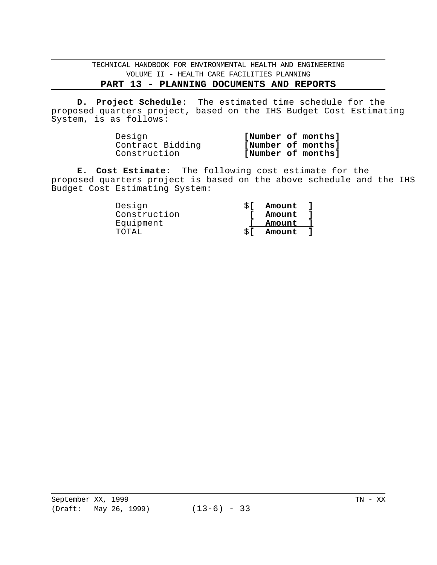# **PART 13 - PLANNING DOCUMENTS AND REPORTS**

**D. Project Schedule:** The estimated time schedule for the proposed quarters project, based on the IHS Budget Cost Estimating System, is as follows:

| Design           |                    | [Number of months] |
|------------------|--------------------|--------------------|
| Contract Bidding | [Number of months] |                    |
| Construction     |                    | [Number of months] |

**E. Cost Estimate:** The following cost estimate for the proposed quarters project is based on the above schedule and the IHS Budget Cost Estimating System:

| Design       |    | Amount l |  |
|--------------|----|----------|--|
| Construction |    | Amount   |  |
| Equipment    |    | Amount   |  |
| TOTAL.       | ST | Amount   |  |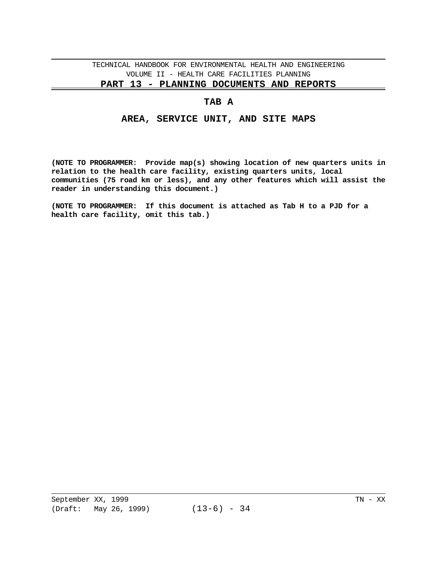#### **PART 13 - PLANNING DOCUMENTS AND REPORTS**

### **TAB A**

### **AREA, SERVICE UNIT, AND SITE MAPS**

**(NOTE TO PROGRAMMER: Provide map(s) showing location of new quarters units in relation to the health care facility, existing quarters units, local communities (75 road km or less), and any other features which will assist the reader in understanding this document.)** 

**(NOTE TO PROGRAMMER: If this document is attached as Tab H to a PJD for a health care facility, omit this tab.)**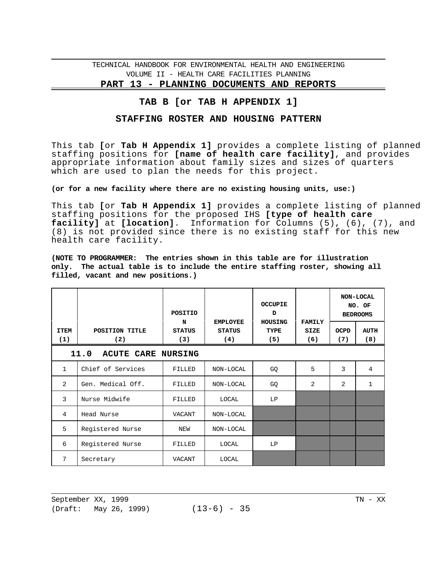**PART 13 - PLANNING DOCUMENTS AND REPORTS** 

# **TAB B [or TAB H APPENDIX 1]**

### **STAFFING ROSTER AND HOUSING PATTERN**

This tab **[**or **Tab H Appendix 1]** provides a complete listing of planned staffing positions for **[name of health care facility]**, and provides appropriate information about family sizes and sizes of quarters which are used to plan the needs for this project.

### **(or for a new facility where there are no existing housing units, use:)**

This tab **[**or **Tab H Appendix 1]** provides a complete listing of planned staffing positions for the proposed IHS **[type of health care facility]** at **[location]**. Information for Columns (5), (6), (7), and (8) is not provided since there is no existing staff for this new health care facility.

**(NOTE TO PROGRAMMER: The entries shown in this table are for illustration only. The actual table is to include the entire staffing roster, showing all filled, vacant and new positions.)** 

|              |                                   | POSITIO            |                                  | <b>OCCUPIE</b><br>D           |                              |                | NON-LOCAL<br>NO. OF<br><b>BEDROOMS</b> |  |  |  |
|--------------|-----------------------------------|--------------------|----------------------------------|-------------------------------|------------------------------|----------------|----------------------------------------|--|--|--|
| <b>ITEM</b>  | POSITION TITLE                    | N<br><b>STATUS</b> | <b>EMPLOYEE</b><br><b>STATUS</b> | <b>HOUSING</b><br><b>TYPE</b> | <b>FAMILY</b><br><b>SIZE</b> | <b>OCPD</b>    | <b>AUTH</b>                            |  |  |  |
| (1)          | (2)                               | (3)                | (4)                              | (5)                           | (6)                          | (7)            | (8)                                    |  |  |  |
|              | 11.0<br><b>ACUTE CARE NURSING</b> |                    |                                  |                               |                              |                |                                        |  |  |  |
| $\mathbf{1}$ | Chief of Services                 | FILLED             | NON-LOCAL                        | GQ                            | 5                            | 3              | 4                                      |  |  |  |
| 2            | Gen. Medical Off.                 | FILLED             | NON-LOCAL                        | GQ                            | 2                            | $\overline{2}$ | 1                                      |  |  |  |
| 3            | Nurse Midwife                     | FILLED             | LOCAL                            | LP                            |                              |                |                                        |  |  |  |
| 4            | Head Nurse                        | <b>VACANT</b>      | NON-LOCAL                        |                               |                              |                |                                        |  |  |  |
| 5            | Registered Nurse                  | NEW                | NON-LOCAL                        |                               |                              |                |                                        |  |  |  |
| 6            | Registered Nurse                  | FILLED             | LOCAL                            | LP                            |                              |                |                                        |  |  |  |
| 7            | Secretary                         | VACANT             | LOCAL                            |                               |                              |                |                                        |  |  |  |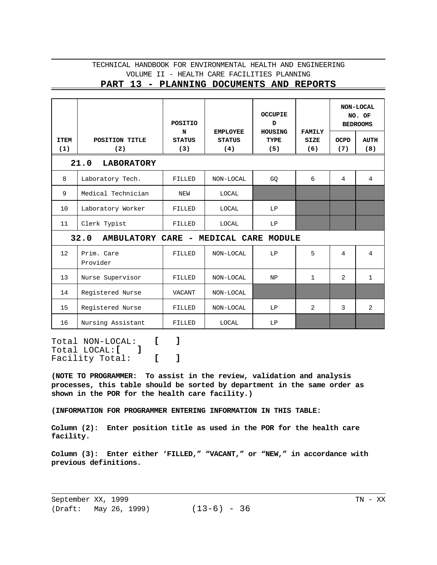### **PART 13 - PLANNING DOCUMENTS AND REPORTS**

|             |                                        | <b>POSITIO</b><br>N | <b>EMPLOYEE</b> | <b>OCCUPIE</b><br>D<br>HOUSING | <b>FAMILY</b> |                | NON-LOCAL<br>NO. OF<br><b>BEDROOMS</b> |
|-------------|----------------------------------------|---------------------|-----------------|--------------------------------|---------------|----------------|----------------------------------------|
| <b>ITEM</b> | POSITION TITLE                         | <b>STATUS</b>       | <b>STATUS</b>   | <b>TYPE</b>                    | <b>SIZE</b>   | <b>OCPD</b>    | <b>AUTH</b>                            |
| (1)         | (2)<br>21.0<br><b>LABORATORY</b>       | (3)                 | (4)             | (5)                            | (6)           | (7)            | (8)                                    |
|             |                                        |                     |                 |                                |               |                |                                        |
| 8           | Laboratory Tech.                       | FILLED              | NON-LOCAL       | GQ                             | 6             | $\overline{4}$ | $\overline{4}$                         |
| 9           | Medical Technician                     | NEW                 | LOCAL           |                                |               |                |                                        |
| 10          | Laboratory Worker                      | FILLED              | LOCAL           | LP                             |               |                |                                        |
| 11          | Clerk Typist                           | FILLED              | LOCAL           | LP                             |               |                |                                        |
|             | 32.0<br>AMBULATORY CARE - MEDICAL CARE |                     |                 | MODULE                         |               |                |                                        |
| 12          | Prim. Care<br>Provider                 | FILLED              | NON-LOCAL       | LP                             | 5             | 4              | 4                                      |
| 13          | Nurse Supervisor                       | FILLED              | NON-LOCAL       | NP                             | $\mathbf{1}$  | $\overline{2}$ | $\mathbf{1}$                           |
| 14          | Registered Nurse                       | <b>VACANT</b>       | NON-LOCAL       |                                |               |                |                                        |
| 15          | Registered Nurse                       | FILLED              | NON-LOCAL       | LP                             | 2             | 3              | 2                                      |
| 16          | Nursing Assistant                      | FILLED              | LOCAL           | LP                             |               |                |                                        |

Total NON-LOCAL: **[ ]**  Total LOCAL:**[ ]**  Facility Total: **[ ]** 

**(NOTE TO PROGRAMMER: To assist in the review, validation and analysis processes, this table should be sorted by department in the same order as shown in the POR for the health care facility.)** 

**(INFORMATION FOR PROGRAMMER ENTERING INFORMATION IN THIS TABLE:** 

**Column (2): Enter position title as used in the POR for the health care facility.** 

**Column (3): Enter either 'FILLED," "VACANT," or "NEW," in accordance with previous definitions.**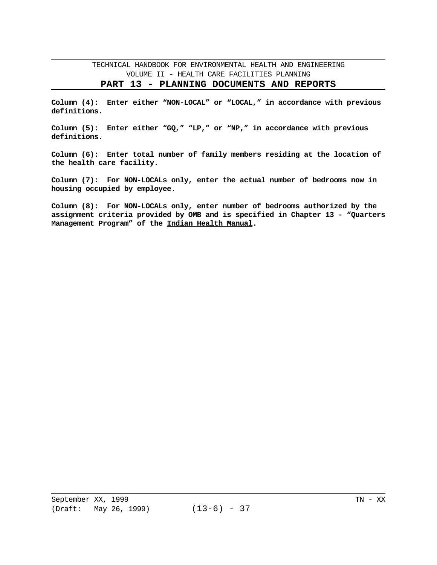#### **PART 13 - PLANNING DOCUMENTS AND REPORTS**

**Column (4): Enter either "NON-LOCAL" or "LOCAL," in accordance with previous definitions.** 

**Column (5): Enter either "GQ," "LP," or "NP," in accordance with previous definitions.** 

**Column (6): Enter total number of family members residing at the location of the health care facility.** 

**Column (7): For NON-LOCALs only, enter the actual number of bedrooms now in housing occupied by employee.** 

**Column (8): For NON-LOCALs only, enter number of bedrooms authorized by the assignment criteria provided by OMB and is specified in Chapter 13 - "Quarters Management Program" of the Indian Health Manual.**